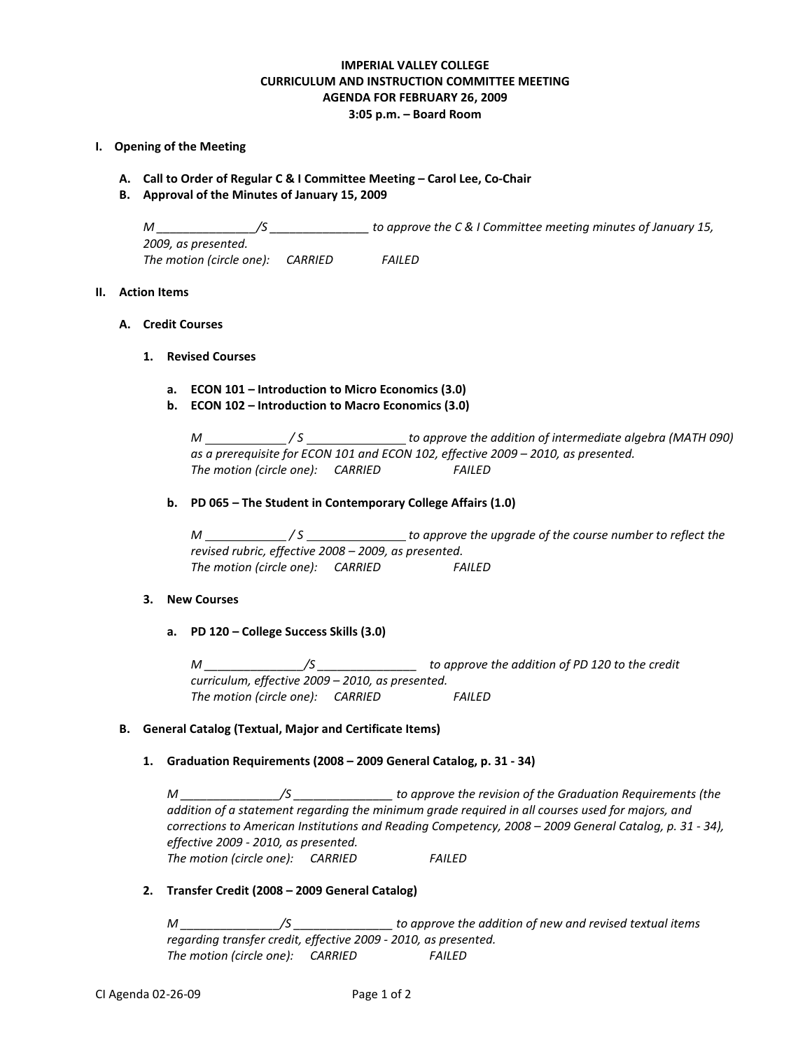# **IMPERIAL VALLEY COLLEGE CURRICULUM AND INSTRUCTION COMMITTEE MEETING AGENDA FOR FEBRUARY 26, 2009 3:05 p.m. – Board Room**

### **I. Opening of the Meeting**

- **A. Call to Order of Regular C & I Committee Meeting – Carol Lee, Co-Chair**
- **B. Approval of the Minutes of January 15, 2009**

*M \_\_\_\_\_\_\_\_\_\_\_\_\_\_\_/S \_\_\_\_\_\_\_\_\_\_\_\_\_\_\_ to approve the C & I Committee meeting minutes of January 15, 2009, as presented. The motion (circle one): CARRIED FAILED*

# **II. Action Items**

- **A. Credit Courses**
	- **1. Revised Courses**
		- **a. ECON 101 – Introduction to Micro Economics (3.0)**
		- **b. ECON 102 – Introduction to Macro Economics (3.0)**

*M \_\_\_\_\_\_\_\_\_\_\_\_\_\_\_/S* \_\_\_\_\_\_\_\_\_\_\_\_\_\_\_\_to approve the addition of intermediate algebra (MATH 090) *as a prerequisite for ECON 101 and ECON 102, effective 2009 – 2010, as presented. The motion (circle one): CARRIED FAILED*

**b. PD 065 – The Student in Contemporary College Affairs (1.0)**

*M* \_\_\_\_\_\_\_\_\_\_\_\_\_\_\_/S \_\_\_\_\_\_\_\_\_\_\_\_\_\_\_\_\_\_\_ to approve the upgrade of the course number to reflect the *revised rubric, effective 2008 – 2009, as presented. The motion (circle one): CARRIED FAILED*

#### **3. New Courses**

**a. PD 120 – College Success Skills (3.0)**

*M \_\_\_\_\_\_\_\_\_\_\_\_\_\_\_/S \_\_\_\_\_\_\_\_\_\_\_\_\_\_\_ to approve the addition of PD 120 to the credit curriculum, effective 2009 – 2010, as presented. The motion (circle one): CARRIED FAILED*

## **B. General Catalog (Textual, Major and Certificate Items)**

# **1. Graduation Requirements (2008 – 2009 General Catalog, p. 31 - 34)**

*M \_\_\_\_\_\_\_\_\_\_\_\_\_\_\_/S \_\_\_\_\_\_\_\_\_\_\_\_\_\_\_ to approve the revision of the Graduation Requirements (the addition of a statement regarding the minimum grade required in all courses used for majors, and corrections to American Institutions and Reading Competency, 2008 – 2009 General Catalog, p. 31 - 34), effective 2009 - 2010, as presented. The motion (circle one): CARRIED FAILED*

#### **2. Transfer Credit (2008 – 2009 General Catalog)**

*M \_\_\_\_\_\_\_\_\_\_\_\_\_\_\_/S \_\_\_\_\_\_\_\_\_\_\_\_\_\_\_ to approve the addition of new and revised textual items regarding transfer credit, effective 2009 - 2010, as presented. The motion (circle one): CARRIED FAILED*